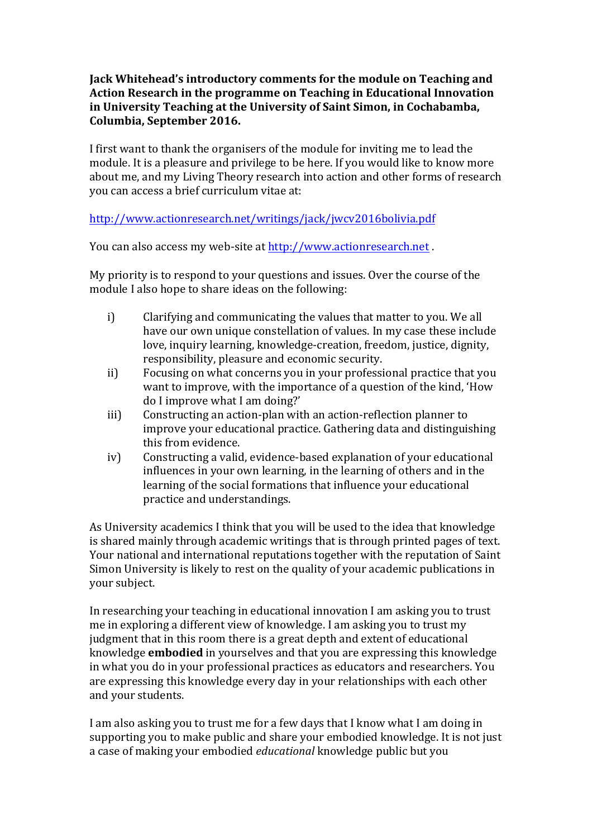## **Jack Whitehead's introductory comments for the module on Teaching and** Action Research in the programme on Teaching in Educational Innovation in University Teaching at the University of Saint Simon, in Cochabamba, **Columbia, September 2016.**

I first want to thank the organisers of the module for inviting me to lead the module. It is a pleasure and privilege to be here. If you would like to know more about me, and my Living Theory research into action and other forms of research you can access a brief curriculum vitae at:

http://www.actionresearch.net/writings/jack/jwcv2016bolivia.pdf

You can also access my web-site at http://www.actionresearch.net.

My priority is to respond to your questions and issues. Over the course of the module I also hope to share ideas on the following:

- i) Clarifying and communicating the values that matter to you. We all have our own unique constellation of values. In my case these include love, inquiry learning, knowledge-creation, freedom, justice, dignity, responsibility, pleasure and economic security.
- ii) Focusing on what concerns you in your professional practice that you want to improve, with the importance of a question of the kind, 'How do I improve what I am doing?'
- iii) Constructing an action-plan with an action-reflection planner to improve your educational practice. Gathering data and distinguishing this from evidence.
- iv) Constructing a valid, evidence-based explanation of your educational influences in your own learning, in the learning of others and in the learning of the social formations that influence your educational practice and understandings.

As University academics I think that you will be used to the idea that knowledge is shared mainly through academic writings that is through printed pages of text. Your national and international reputations together with the reputation of Saint Simon University is likely to rest on the quality of your academic publications in vour subject.

In researching your teaching in educational innovation I am asking you to trust me in exploring a different view of knowledge. I am asking you to trust my judgment that in this room there is a great depth and extent of educational knowledge **embodied** in yourselves and that you are expressing this knowledge in what you do in your professional practices as educators and researchers. You are expressing this knowledge every day in your relationships with each other and your students.

I am also asking you to trust me for a few days that I know what I am doing in supporting you to make public and share your embodied knowledge. It is not just a case of making your embodied *educational* knowledge public but you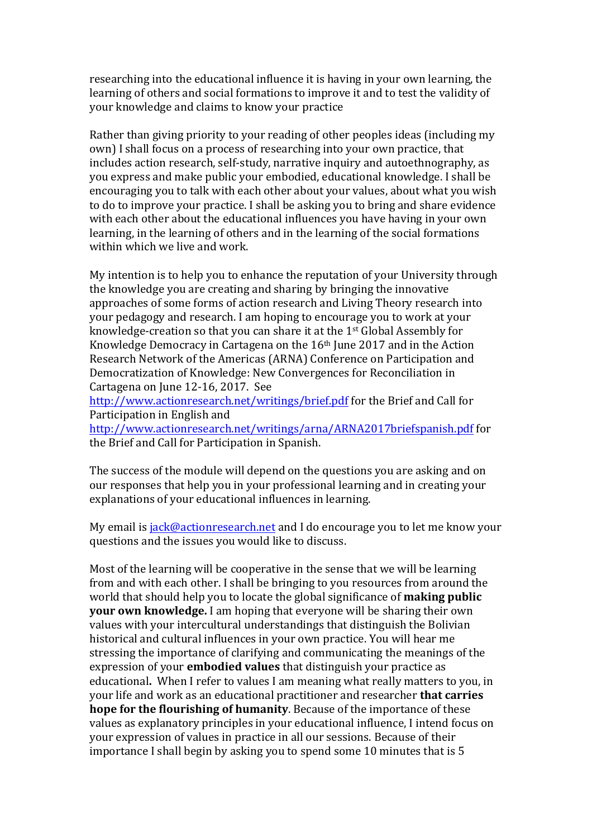researching into the educational influence it is having in your own learning, the learning of others and social formations to improve it and to test the validity of your knowledge and claims to know your practice

Rather than giving priority to your reading of other peoples ideas (including my own) I shall focus on a process of researching into your own practice, that includes action research, self-study, narrative inquiry and autoethnography, as you express and make public your embodied, educational knowledge. I shall be encouraging you to talk with each other about your values, about what you wish to do to improve your practice. I shall be asking you to bring and share evidence with each other about the educational influences you have having in your own learning, in the learning of others and in the learning of the social formations within which we live and work.

My intention is to help you to enhance the reputation of your University through the knowledge you are creating and sharing by bringing the innovative approaches of some forms of action research and Living Theory research into your pedagogy and research. I am hoping to encourage you to work at your knowledge-creation so that you can share it at the  $1<sup>st</sup>$  Global Assembly for Knowledge Democracy in Cartagena on the  $16<sup>th</sup>$  June 2017 and in the Action Research Network of the Americas (ARNA) Conference on Participation and Democratization of Knowledge: New Convergences for Reconciliation in Cartagena on June 12-16, 2017. See

http://www.actionresearch.net/writings/brief.pdf for the Brief and Call for Participation in English and

http://www.actionresearch.net/writings/arna/ARNA2017briefspanish.pdf for the Brief and Call for Participation in Spanish.

The success of the module will depend on the questions you are asking and on our responses that help you in your professional learning and in creating your explanations of your educational influences in learning.

My email is jack@actionresearch.net and I do encourage you to let me know your questions and the issues you would like to discuss.

Most of the learning will be cooperative in the sense that we will be learning from and with each other. I shall be bringing to you resources from around the world that should help you to locate the global significance of **making public your own knowledge.** I am hoping that everyone will be sharing their own values with your intercultural understandings that distinguish the Bolivian historical and cultural influences in your own practice. You will hear me stressing the importance of clarifying and communicating the meanings of the expression of your **embodied values** that distinguish your practice as educational. When I refer to values I am meaning what really matters to you, in vour life and work as an educational practitioner and researcher **that carries hope for the flourishing of humanity**. Because of the importance of these values as explanatory principles in your educational influence, I intend focus on your expression of values in practice in all our sessions. Because of their importance I shall begin by asking you to spend some 10 minutes that is 5